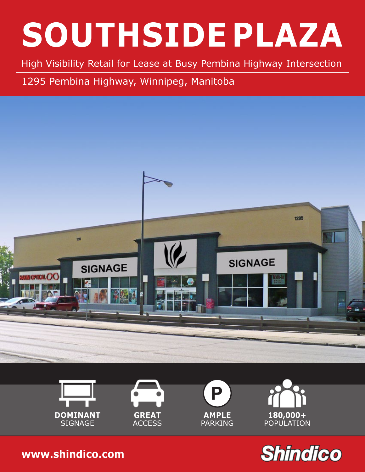High Visibility Retail for Lease at Busy Pembina Highway Intersection

1295 Pembina Highway, Winnipeg, Manitoba













**[www.shindico.com](http://www.shindico.com)**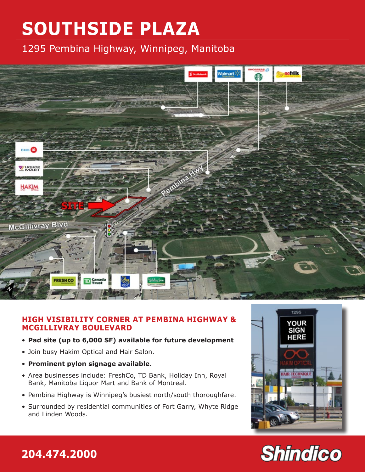1295 Pembina Highway, Winnipeg, Manitoba



#### **HIGH VISIBILITY CORNER AT PEMBINA HIGHWAY & MCGILLIVRAY BOULEVARD**

- **Pad site (up to 6,000 SF) available for future development**
- Join busy Hakim Optical and Hair Salon.
- **Prominent pylon signage available.**
- Area businesses include: FreshCo, TD Bank, Holiday Inn, Royal Bank, Manitoba Liquor Mart and Bank of Montreal.
- Pembina Highway is Winnipeg's busiest north/south thoroughfare.
- Surrounded by residential communities of Fort Garry, Whyte Ridge and Linden Woods.



## **204.474.2000 www.shindico**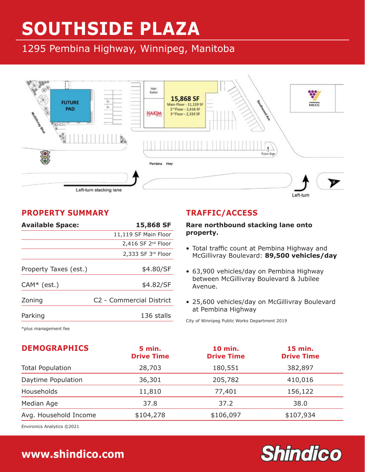1295 Pembina Highway, Winnipeg, Manitoba



#### **PROPERTY SUMMARY**

| <b>Available Space:</b> | 15,868 SF                            |  |  |
|-------------------------|--------------------------------------|--|--|
|                         | 11,119 SF Main Floor                 |  |  |
|                         | $2,416$ SF $2^{nd}$ Floor            |  |  |
|                         | $2,333$ SF $3^{rd}$ Floor            |  |  |
| Property Taxes (est.)   | \$4.80/SF                            |  |  |
| $CAM* (est.)$           | \$4.82/SF                            |  |  |
| Zoning                  | C <sub>2</sub> - Commercial District |  |  |
| Parking                 | 136 stalls                           |  |  |
|                         |                                      |  |  |

#### **TRAFFIC/ACCESS**

#### **Rare northbound stacking lane onto property.**

- Total traffic count at Pembina Highway and McGillivray Boulevard: **89,500 vehicles/day**
- 63,900 vehicles/day on Pembina Highway between McGillivray Boulevard & Jubilee Avenue.
- 25,600 vehicles/day on McGillivray Boulevard at Pembina Highway

**Shindico** 

City of Winnipeg Public Works Department 2019

\*plus management fee

| <b>DEMOGRAPHICS</b>     | <b>5 min.</b><br><b>Drive Time</b> | <b>10 min.</b><br><b>Drive Time</b> | 15 min.<br><b>Drive Time</b> |
|-------------------------|------------------------------------|-------------------------------------|------------------------------|
| <b>Total Population</b> | 28,703                             | 180,551                             | 382,897                      |
| Daytime Population      | 36,301                             | 205,782                             | 410,016                      |
| Households              | 11,810                             | 77,401                              | 156,122                      |
| Median Age              | 37.8                               | 37.2                                | 38.0                         |
| Avg. Household Income   | \$104,278                          | \$106,097                           | \$107,934                    |

Environics Analytics ©2021

### **204.474.2000 [www.shindico.com](http://www.shindico.com)**